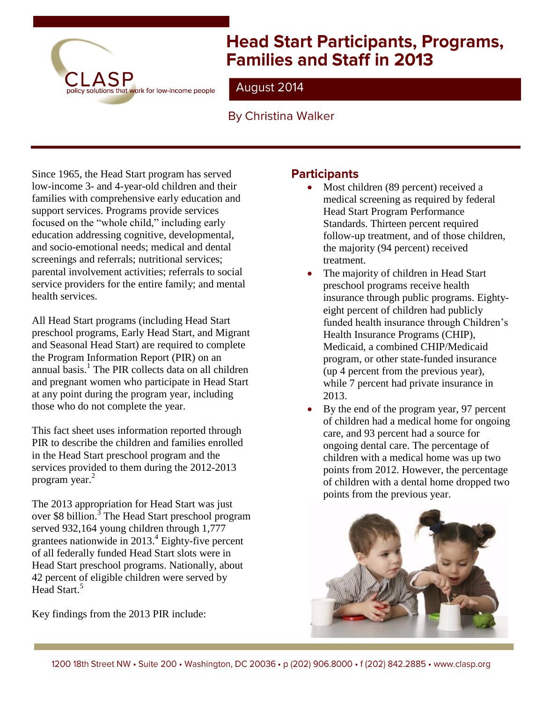

# **Head Start Participants, Programs, Families and Staff in 2013**

# August 2014

# **By Christina Walker**

Since 1965, the Head Start program has served low-income 3- and 4-year-old children and their families with comprehensive early education and support services. Programs provide services focused on the "whole child," including early education addressing cognitive, developmental, and socio-emotional needs; medical and dental screenings and referrals; nutritional services; parental involvement activities; referrals to social service providers for the entire family; and mental health services.

All Head Start programs (including Head Start preschool programs, Early Head Start, and Migrant and Seasonal Head Start) are required to complete the Program Information Report (PIR) on an annual basis. 1 The PIR collects data on all children and pregnant women who participate in Head Start at any point during the program year, including those who do not complete the year.

This fact sheet uses information reported through PIR to describe the children and families enrolled in the Head Start preschool program and the services provided to them during the 2012-2013 program year.<sup>2</sup>

The 2013 appropriation for Head Start was just over \$8 billion.<sup>3</sup> The Head Start preschool program served 932,164 young children through 1,777 grantees nationwide in 2013. 4 Eighty-five percent of all federally funded Head Start slots were in Head Start preschool programs. Nationally, about 42 percent of eligible children were served by Head Start.<sup>5</sup>

Key findings from the 2013 PIR include:

## **Participants**

- Most children (89 percent) received a medical screening as required by federal Head Start Program Performance Standards. Thirteen percent required follow-up treatment, and of those children, the majority (94 percent) received treatment.
- The majority of children in Head Start preschool programs receive health insurance through public programs. Eightyeight percent of children had publicly funded health insurance through Children's Health Insurance Programs (CHIP), Medicaid, a combined CHIP/Medicaid program, or other state-funded insurance (up 4 percent from the previous year), while 7 percent had private insurance in 2013.
- By the end of the program year, 97 percent of children had a medical home for ongoing care, and 93 percent had a source for ongoing dental care. The percentage of children with a medical home was up two points from 2012. However, the percentage of children with a dental home dropped two points from the previous year.

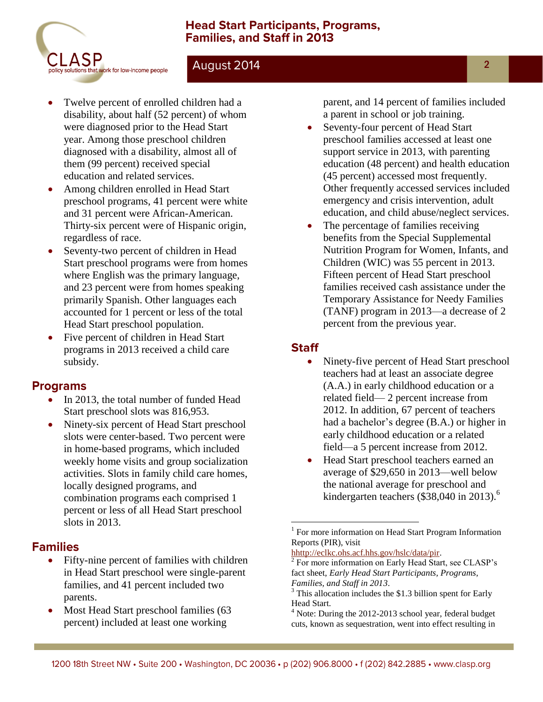#### **Head Start Participants, Programs, Families, and Staff in 2013**



### August 2014

- Twelve percent of enrolled children had a disability, about half (52 percent) of whom were diagnosed prior to the Head Start year. Among those preschool children diagnosed with a disability, almost all of them (99 percent) received special education and related services.
- Among children enrolled in Head Start preschool programs, 41 percent were white and 31 percent were African-American. Thirty-six percent were of Hispanic origin, regardless of race.
- Seventy-two percent of children in Head Start preschool programs were from homes where English was the primary language, and 23 percent were from homes speaking primarily Spanish. Other languages each accounted for 1 percent or less of the total Head Start preschool population.
- Five percent of children in Head Start programs in 2013 received a child care subsidy.

#### **Programs**

- In 2013, the total number of funded Head Start preschool slots was 816,953.
- Ninety-six percent of Head Start preschool slots were center-based. Two percent were in home-based programs, which included weekly home visits and group socialization activities. Slots in family child care homes, locally designed programs, and combination programs each comprised 1 percent or less of all Head Start preschool slots in 2013.

## **Families**

- Fifty-nine percent of families with children in Head Start preschool were single-parent families, and 41 percent included two parents.
- Most Head Start preschool families (63 percent) included at least one working

parent, and 14 percent of families included a parent in school or job training.

- Seventy-four percent of Head Start preschool families accessed at least one support service in 2013, with parenting education (48 percent) and health education (45 percent) accessed most frequently. Other frequently accessed services included emergency and crisis intervention, adult education, and child abuse/neglect services.
- The percentage of families receiving benefits from the Special Supplemental Nutrition Program for Women, Infants, and Children (WIC) was 55 percent in 2013. Fifteen percent of Head Start preschool families received cash assistance under the Temporary Assistance for Needy Families (TANF) program in 2013—a decrease of 2 percent from the previous year.

## **Staff**

 $\overline{a}$ 

- Ninety-five percent of Head Start preschool teachers had at least an associate degree (A.A.) in early childhood education or a related field— 2 percent increase from 2012. In addition, 67 percent of teachers had a bachelor's degree (B.A.) or higher in early childhood education or a related field—a 5 percent increase from 2012.
- Head Start preschool teachers earned an average of \$29,650 in 2013—well below the national average for preschool and kindergarten teachers (\$38,040 in 2013). 6

<sup>&</sup>lt;sup>1</sup> For more information on Head Start Program Information Reports (PIR), visit

[hhttp://eclkc.ohs.acf.hhs.gov/hslc/data/pir.](http://eclkc.ohs.acf.hhs.gov/hslc/Program%20Design%20and%20Management/Head%20Start%20Requirements/Progam%20Information%20Report)

<sup>&</sup>lt;sup>2</sup> For more information on Early Head Start, see CLASP's fact sheet, *Early Head Start Participants, Programs, Families, and Staff in 2013*.

<sup>&</sup>lt;sup>3</sup> This allocation includes the \$1.3 billion spent for Early Head Start.

<sup>&</sup>lt;sup>4</sup> Note: During the 2012-2013 school year, federal budget cuts, known as sequestration, went into effect resulting in